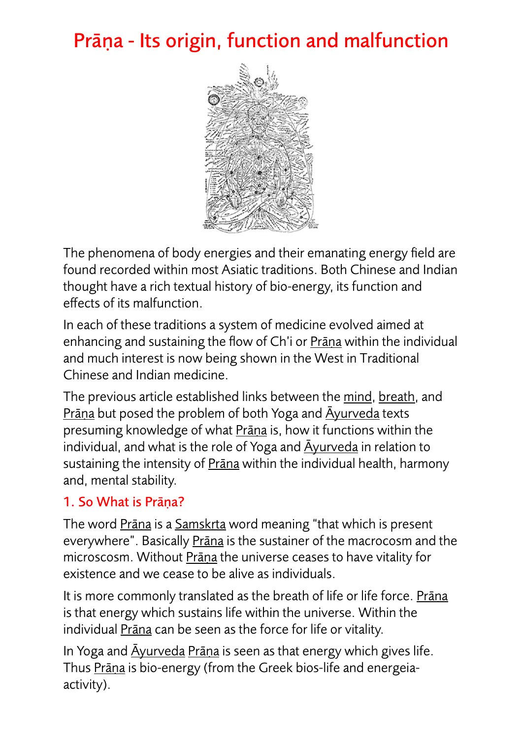# Prāṇa - Its origin, function and malfunction



The phenomena of body energies and their emanating energy field are found recorded within most Asiatic traditions. Both Chinese and Indian thought have a rich textual history of bio-energy, its function and effects of its malfunction.

In each of these traditions a system of medicine evolved aimed at enhancing and sustaining the flow of Ch'i or Pr[āṇ](http://www.yogastudies.org/sanskrit/prana/)a within the individual and much interest is now being shown in the West in Traditional Chinese and Indian medicine.

The previous article established links between the [mind](http://www.yogastudies.org/sanskrit/manas/), [breath](http://www.yogastudies.org/sanskrit/prana/), and Pr[āṇ](http://www.yogastudies.org/sanskrit/prana/)a but posed the problem of both Yoga and <u>Āyurveda</u> texts presuming knowledge of what Pr[āṇ](http://www.yogastudies.org/sanskrit/prana/)a is, how it functions within the individual, and what is the role of Yoga and Ā[yurveda](http://www.yogastudies.org/sanskrit/ayurveda/) in relation to sustaining the intensity of Pr[āṇ](http://www.yogastudies.org/sanskrit/prana/)a within the individual health, harmony and, mental stability.

#### 1. So What is Prāṇa?

The word Pr[āṇ](http://www.yogastudies.org/sanskrit/prana/)a is a [Sa](http://www.yogastudies.org/sanskrit/sanskrit/)mskrta word meaning "that which is present everywhere". Basically Pr[āṇ](http://www.yogastudies.org/sanskrit/prana/)a is the sustainer of the macrocosm and the microscosm. Without Pr[āṇ](http://www.yogastudies.org/sanskrit/prana/)a the universe ceases to have vitality for existence and we cease to be alive as individuals.

It is more commonly translated as the breath of life or life force. Pr[āṇ](http://www.yogastudies.org/sanskrit/prana/)a is that energy which sustains life within the universe. Within the individual Pr[āṇ](http://www.yogastudies.org/sanskrit/prana/)a can be seen as the force for life or vitality.

In Yoga and A[yurveda](http://www.yogastudies.org/sanskrit/ayurveda/) Prana is seen as that energy which gives life. Thus Pr[āṇ](http://www.yogastudies.org/sanskrit/prana/)a is bio-energy (from the Greek bios-life and energeiaactivity).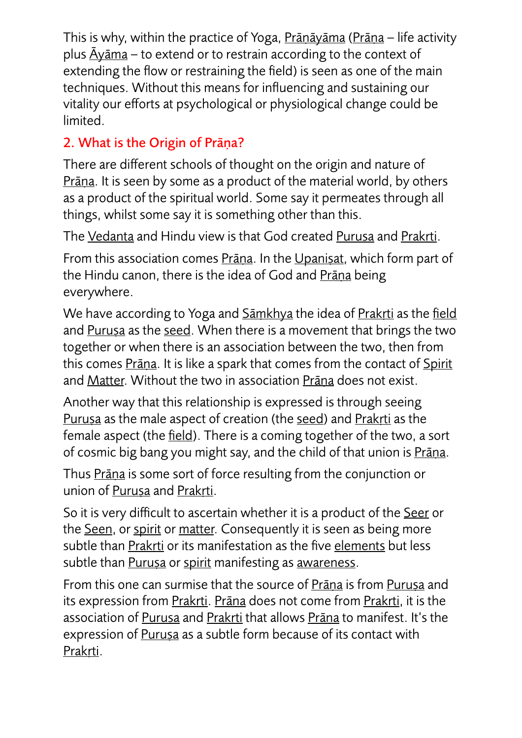This is why, within the practice of Yoga, Prānāyāma (Prāna – life activity plus  $\bar{A}$ yā[ma](http://www.yogastudies.org/sanskrit/ayama/) – to extend or to restrain according to the context of extending the flow or restraining the field) is seen as one of the main techniques. Without this means for influencing and sustaining our vitality our efforts at psychological or physiological change could be limited.

# 2. What is the Origin of Prāṇa?

There are different schools of thought on the origin and nature of Prāna. It is seen by some as a product of the material world, by others as a product of the spiritual world. Some say it permeates through all things, whilst some say it is something other than this.

The [Vedanta](http://www.yogastudies.org/sanskrit/vedanta/) and Hindu view is that God created [Puru](http://www.yogastudies.org/sanskrit/purusha/)sa and [Prak](http://www.yogastudies.org/sanskrit/prakrti/)rti.

From this association comes Prāna. In the [Upani](http://www.yogastudies.org/sanskrit/upanishad/)sat, which form part of the Hindu canon, there is the idea of God and Pr[āṇ](http://www.yogastudies.org/sanskrit/prana/)a being everywhere.

We have according to Yoga and Sam[khya](http://www.yogastudies.org/sanskrit/samkhya/) the idea of [Prak](http://www.yogastudies.org/sanskrit/prakrti/)rti as the [field](http://www.yogastudies.org/sanskrit/ksetra/) and [Puru](http://www.yogastudies.org/sanskrit/purusha/)sa as the [seed](http://www.yogastudies.org/sanskrit/bija/). When there is a movement that brings the two together or when there is an association between the two, then from this comes Prāna. It is like a spark that comes from the contact of [Spirit](http://www.yogastudies.org/sanskrit/purusha/) and [Matter.](http://www.yogastudies.org/sanskrit/prakrti/) Without the two in association Pr[āṇ](http://www.yogastudies.org/sanskrit/prana/)a does not exist.

Another way that this relationship is expressed is through seeing [Puru](http://www.yogastudies.org/sanskrit/purusha/)sa as the male aspect of creation (the [seed\)](http://www.yogastudies.org/sanskrit/bija/) and [Prak](http://www.yogastudies.org/sanskrit/prakrti/)rti as the female aspect (the [field\)](http://www.yogastudies.org/sanskrit/ksetra/). There is a coming together of the two, a sort of cosmic big bang you might say, and the child of that union is Pr[āṇ](http://www.yogastudies.org/sanskrit/prana/)a.

Thus Pr[āṇ](http://www.yogastudies.org/sanskrit/prana/)a is some sort of force resulting from the conjunction or union of [Puru](http://www.yogastudies.org/sanskrit/purusha/)sa and [Prak](http://www.yogastudies.org/sanskrit/prakrti/)rti.

So it is very difficult to ascertain whether it is a product of the [Seer](http://www.yogastudies.org/sanskrit/drastr/) or the [Seen](http://www.yogastudies.org/sanskrit/drsya/), or [spirit](http://www.yogastudies.org/sanskrit/purusha/) or [matter.](http://www.yogastudies.org/sanskrit/prakrti/) Consequently it is seen as being more subtle than [Prak](http://www.yogastudies.org/sanskrit/prakrti/)rti or its manifestation as the five [elements](http://www.yogastudies.org/sanskrit/bhuta/) but less subtle than [Puru](http://www.yogastudies.org/sanskrit/purusha/)sa or [spirit](http://www.yogastudies.org/sanskrit/purusha/) manifesting as [awareness](http://www.yogastudies.org/sanskrit/citi/).

From this one can surmise that the source of Prāna is from [Puru](http://www.yogastudies.org/sanskrit/purusha/)sa and its expression from [Prak](http://www.yogastudies.org/sanskrit/prakrti/)rti. Pr[āṇ](http://www.yogastudies.org/sanskrit/prana/)a does not come from Prakrti, it is the association of [Puru](http://www.yogastudies.org/sanskrit/purusha/)sa and [Prak](http://www.yogastudies.org/sanskrit/prakrti/)rti that allows Prāna to manifest. It's the expression of [Puru](http://www.yogastudies.org/sanskrit/purusha/)sa as a subtle form because of its contact with [Prak](http://www.yogastudies.org/sanskrit/prakrti/)rti.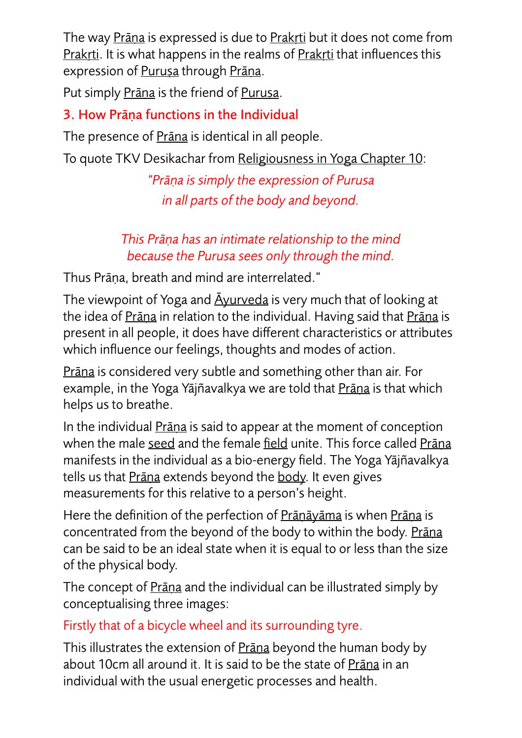The way Prāna is expressed is due to [Prak](http://www.yogastudies.org/sanskrit/prakrti/)rti but it does not come from [Prak](http://www.yogastudies.org/sanskrit/prakrti/)rti. It is what happens in the realms of [Prak](http://www.yogastudies.org/sanskrit/prakrti/)rti that influences this expression of [Puru](http://www.yogastudies.org/sanskrit/purusha/)sa through Prāna.

Put simply Prāna is the friend of [Puru](http://www.yogastudies.org/sanskrit/purusha/)sa.

3. How Prāṇa functions in the Individual

The presence of **Prana** is identical in all people.

To quote TKV Desikachar from [Religiousness in Yoga Chapter 10:](http://www.yogastudies.org/2015/08/pra%25E1%25B9%2587a-is-simply-the-expression-of-puru%25E1%25B9%25A3a/)

*"Prāṇa is simply the expression of Purusa in all parts of the body and beyond.*

#### *This Prāṇa has an intimate relationship to the mind because the Purusa sees only through the mind.*

Thus Prāṇa, breath and mind are interrelated."

The viewpoint of Yoga and A[yurveda](http://www.yogastudies.org/sanskrit/ayurveda/) is very much that of looking at the idea of Pr[āṇ](http://www.yogastudies.org/sanskrit/prana/)a in relation to the individual. Having said that Prāṇa is present in all people, it does have different characteristics or attributes which influence our feelings, thoughts and modes of action.

Pr[āṇ](http://www.yogastudies.org/sanskrit/prana/)a is considered very subtle and something other than air. For example, in the Yoga Yājñavalkya we are told that Prāna is that which helps us to breathe.

In the individual **Prana** is said to appear at the moment of conception when the male [seed](http://www.yogastudies.org/sanskrit/bija/) and the female [field](http://www.yogastudies.org/sanskrit/ksetra/) unite. This force called Prāna manifests in the individual as a bio-energy field. The Yoga Yājñavalkya tells us that Prāna extends beyond the [body.](http://www.yogastudies.org/sanskrit/kaya/) It even gives measurements for this relative to a person's height.

Here the definition of the perfection of Prānāyāma is when Prāna is concentrated from the beyond of the body to within the body. Pr[āṇ](http://www.yogastudies.org/sanskrit/prana/)a can be said to be an ideal state when it is equal to or less than the size of the physical body.

The concept of Prana and the individual can be illustrated simply by conceptualising three images:

## Firstly that of a bicycle wheel and its surrounding tyre.

This illustrates the extension of Prāna beyond the human body by about 10cm all around it. It is said to be the state of Pr[āṇ](http://www.yogastudies.org/sanskrit/prana/)a in an individual with the usual energetic processes and health.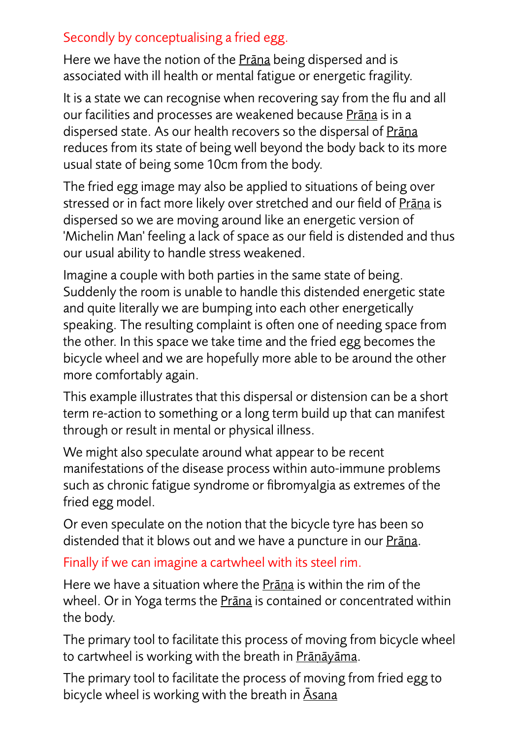#### Secondly by conceptualising a fried egg.

Here we have the notion of the Pr[āṇ](http://www.yogastudies.org/sanskrit/prana/)a being dispersed and is associated with ill health or mental fatigue or energetic fragility.

It is a state we can recognise when recovering say from the flu and all our facilities and processes are weakened because Pr[āṇ](http://www.yogastudies.org/sanskrit/prana/)a is in a dispersed state. As our health recovers so the dispersal of Pr[āṇ](http://www.yogastudies.org/sanskrit/prana/)a reduces from its state of being well beyond the body back to its more usual state of being some 10cm from the body.

The fried egg image may also be applied to situations of being over stressed or in fact more likely over stretched and our field of Pr[āṇ](http://www.yogastudies.org/sanskrit/prana/)a is dispersed so we are moving around like an energetic version of 'Michelin Man' feeling a lack of space as our field is distended and thus our usual ability to handle stress weakened.

Imagine a couple with both parties in the same state of being. Suddenly the room is unable to handle this distended energetic state and quite literally we are bumping into each other energetically speaking. The resulting complaint is often one of needing space from the other. In this space we take time and the fried egg becomes the bicycle wheel and we are hopefully more able to be around the other more comfortably again.

This example illustrates that this dispersal or distension can be a short term re-action to something or a long term build up that can manifest through or result in mental or physical illness.

We might also speculate around what appear to be recent manifestations of the disease process within auto-immune problems such as chronic fatigue syndrome or fibromyalgia as extremes of the fried egg model.

Or even speculate on the notion that the bicycle tyre has been so distended that it blows out and we have a puncture in our Prāna.

#### Finally if we can imagine a cartwheel with its steel rim.

Here we have a situation where the Pr[āṇ](http://www.yogastudies.org/sanskrit/prana/)a is within the rim of the wheel. Or in Yoga terms the **Prana** is contained or concentrated within the body.

The primary tool to facilitate this process of moving from bicycle wheel to cartwheel is working with the breath in Pr[āṇā](http://www.yogastudies.org/sanskrit/pranayama/)yāma.

The primary tool to facilitate the process of moving from fried egg to bicycle wheel is working with the breath in Ā[sana](http://www.yogastudies.org/sanskrit/asana/)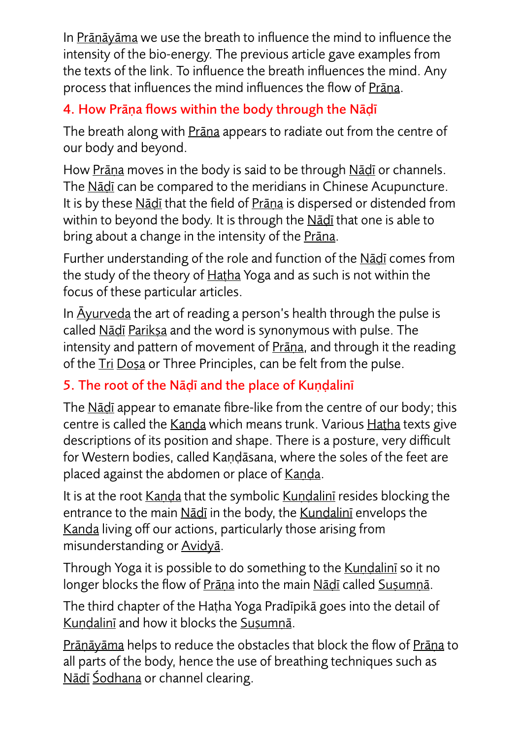In Pr[āṇā](http://www.yogastudies.org/sanskrit/pranayama/)yāma we use the breath to influence the mind to influence the intensity of the bio-energy. The previous article gave examples from the texts of the link. To influence the breath influences the mind. Any process that influences the mind influences the flow of Pr[āṇ](http://www.yogastudies.org/sanskrit/prana/)a.

# 4. How Prāṇa flows within the body through the Nāḍī

The breath along with Prana appears to radiate out from the centre of our body and beyond.

How Prāna moves in the body is said to be through Nādī or channels. The N[āḍī](http://www.yogastudies.org/sanskrit/nadi/) can be compared to the meridians in Chinese Acupuncture. It is by these Nadi that the field of Prana is dispersed or distended from within to beyond the body. It is through the Nadi that one is able to bring about a change in the intensity of the Prāna.

Further understanding of the role and function of the N[āḍī](http://www.yogastudies.org/sanskrit/nadi/) comes from the study of the theory of [Ha](http://www.yogastudies.org/sanskrit/hatha/)tha Yoga and as such is not within the focus of these particular articles.

In  $\overline{A}$ [yurveda](http://www.yogastudies.org/sanskrit/ayurveda/) the art of reading a person's health through the pulse is called Nadi [Parik](http://www.yogastudies.org/sanskrit/pariksa/)sa and the word is synonymous with pulse. The intensity and pattern of movement of Prāna, and through it the reading of the [Tri](http://www.yogastudies.org/sanskrit/tri/) [Do](http://www.yogastudies.org/sanskrit/dosa/)sa or Three Principles, can be felt from the pulse.

# 5. The root of the Nāḍī and the place of Kuṇḍalinī

The Nadi appear to emanate fibre-like from the centre of our body; this centre is called the [Ka](http://www.yogastudies.org/sanskrit/kanda/)nda which means trunk. Various [Ha](http://www.yogastudies.org/sanskrit/hatha/)tha texts give descriptions of its position and shape. There is a posture, very difficult for Western bodies, called Kaṇḍāsana, where the soles of the feet are placed against the abdomen or place of Kanda.

It is at the root Kanda that the symbolic Kund[alin](http://www.yogastudies.org/sanskrit/kundalini/)i resides blocking the entrance to the main Nādī in the body, the Kund[alin](http://www.yogastudies.org/sanskrit/kundalini/)ī envelops the [Ka](http://www.yogastudies.org/sanskrit/kanda/)nda living off our actions, particularly those arising from misunderstanding or [Avidy](http://www.yogastudies.org/sanskrit/avidya/)ā.

Through Yoga it is possible to do something to the Kund[alin](http://www.yogastudies.org/sanskrit/kundalini/)i so it no longer blocks the flow of Prāna into the main Nādī called Sus[um](http://www.yogastudies.org/sanskrit/susumna/)nā.

The third chapter of the Haṭha Yoga Pradīpikā goes into the detail of Kund[alin](http://www.yogastudies.org/sanskrit/kundalini/)ī and how it blocks the Sus[um](http://www.yogastudies.org/sanskrit/susumna/)nā.

Pr[āṇā](http://www.yogastudies.org/sanskrit/pranayama/)yāma helps to reduce the obstacles that block the flow of Pr[āṇ](http://www.yogastudies.org/sanskrit/prana/)a to all parts of the body, hence the use of breathing techniques such as N[āḍī](http://www.yogastudies.org/sanskrit/nadi/) Ś[odhana](http://www.yogastudies.org/sanskrit/shodhana/) or channel clearing.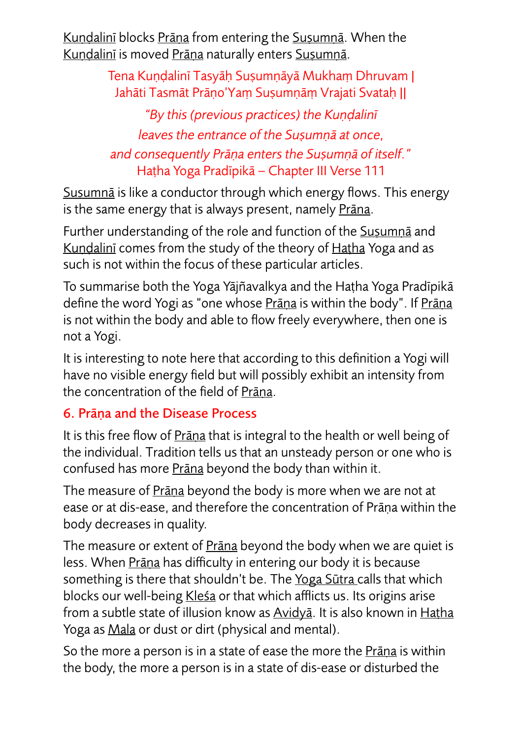Kund[alin](http://www.yogastudies.org/sanskrit/kundalini/)ī blocks Prāna from entering the Sus[um](http://www.yogastudies.org/sanskrit/susumna/)nā. When the Kund[alin](http://www.yogastudies.org/sanskrit/kundalini/)ī is moved Prāna naturally enters Sus[um](http://www.yogastudies.org/sanskrit/susumna/)nā.

> Tena Kuṇḍalinī Tasyāḥ Suṣumṇāyā Mukhaṃ Dhruvam | Jahāti Tasmāt Prāṇo'Yaṃ Suṣumṇāṃ Vrajati Svataḥ ||

*"By this (previous practices) the Kundalini leaves the entrance of the Suṣumṇā at once, and consequently Prāṇa enters the Suṣumṇā of itself."* Haṭha Yoga Pradīpikā – Chapter III Verse 111

Sus[um](http://www.yogastudies.org/sanskrit/susumna/)nā is like a conductor through which energy flows. This energy is the same energy that is always present, namely Pr[āṇ](http://www.yogastudies.org/sanskrit/prana/)a.

Further understanding of the role and function of the Sus[um](http://www.yogastudies.org/sanskrit/susumna/)na and Kund[alin](http://www.yogastudies.org/sanskrit/kundalini/)ī comes from the study of the theory of [Ha](http://www.yogastudies.org/sanskrit/hatha/)tha Yoga and as such is not within the focus of these particular articles.

To summarise both the Yoga Yājñavalkya and the Haṭha Yoga Pradīpikā define the word Yogi as "one whose Pr[āṇ](http://www.yogastudies.org/sanskrit/prana/)a is within the body". If Pr[āṇ](http://www.yogastudies.org/sanskrit/prana/)a is not within the body and able to flow freely everywhere, then one is not a Yogi.

It is interesting to note here that according to this definition a Yogi will have no visible energy field but will possibly exhibit an intensity from the concentration of the field of Pr[āṇ](http://www.yogastudies.org/sanskrit/prana/)a.

## 6. Prāṇa and the Disease Process

It is this free flow of Prana that is integral to the health or well being of the individual. Tradition tells us that an unsteady person or one who is confused has more Prāna beyond the body than within it.

The measure of **Prana** beyond the body is more when we are not at ease or at dis-ease, and therefore the concentration of Prāṇa within the body decreases in quality.

The measure or extent of Prana beyond the body when we are quiet is less. When Pr[āṇ](http://www.yogastudies.org/sanskrit/prana/)a has difficulty in entering our body it is because something is there that shouldn't be. The [Yoga S](http://www.yogastudies.org/yoga-text-freenotes/yoga-sutra-freenotes/)ūtra calls that which blocks our well-being [Kle](http://www.yogastudies.org/sanskrit/klesa/)śa or that which afflicts us. Its origins arise from a subtle state of illusion know as [Avidy](http://www.yogastudies.org/sanskrit/avidya/)a. It is also known in [Ha](http://www.yogastudies.org/sanskrit/hatha/)tha Yoga as [Mala](http://www.yogastudies.org/sanskrit/mala/) or dust or dirt (physical and mental).

So the more a person is in a state of ease the more the **Prana** is within the body, the more a person is in a state of dis-ease or disturbed the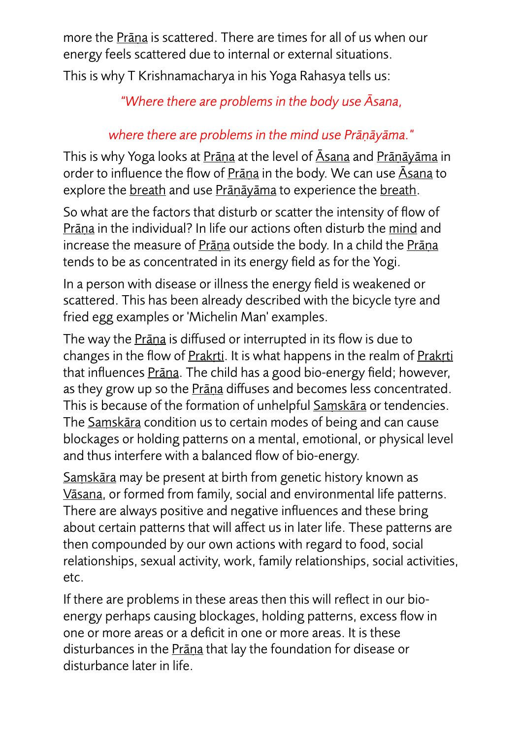more the Pr[āṇ](http://www.yogastudies.org/sanskrit/prana/)a is scattered. There are times for all of us when our energy feels scattered due to internal or external situations.

This is why T Krishnamacharya in his Yoga Rahasya tells us:

#### *"Where there are problems in the body use Āsana,*

#### *where there are problems in the mind use Prāṇāyāma."*

This is why Yoga looks at Pr[āṇ](http://www.yogastudies.org/sanskrit/prana/)a at the level of Ā[sana](http://www.yogastudies.org/sanskrit/asana/) and Pr[āṇā](http://www.yogastudies.org/sanskrit/pranayama/)yāma in order to influence the flow of Prana in the body. We can use A[sana](http://www.yogastudies.org/sanskrit/asana/) to explore the [breath](http://www.yogastudies.org/sanskrit/prana/) and use Prānāyāma to experience the [breath.](http://www.yogastudies.org/sanskrit/prana/)

So what are the factors that disturb or scatter the intensity of flow of Pr[āṇ](http://www.yogastudies.org/sanskrit/prana/)a in the individual? In life our actions ofen disturb the [mind](http://www.yogastudies.org/sanskrit/manas/) and increase the measure of Pr[āṇ](http://www.yogastudies.org/sanskrit/prana/)a outside the body. In a child the Pr[āṇ](http://www.yogastudies.org/sanskrit/prana/)a tends to be as concentrated in its energy field as for the Yogi.

In a person with disease or illness the energy field is weakened or scattered. This has been already described with the bicycle tyre and fried egg examples or 'Michelin Man' examples.

The way the **Prāna** is diffused or interrupted in its flow is due to changes in the flow of [Prak](http://www.yogastudies.org/sanskrit/prakrti/)rti. It is what happens in the realm of [Prak](http://www.yogastudies.org/sanskrit/prakrti/)rti that influences Pr[āṇ](http://www.yogastudies.org/sanskrit/prana/)a. The child has a good bio-energy field; however, as they grow up so the Prana diffuses and becomes less concentrated. This is because of the formation of unhelpful [Sa](http://www.yogastudies.org/sanskrit/samskara/)mskara or tendencies. The [Sa](http://www.yogastudies.org/sanskrit/samskara/)mskāra condition us to certain modes of being and can cause blockages or holding patterns on a mental, emotional, or physical level and thus interfere with a balanced flow of bio-energy.

[Sa](http://www.yogastudies.org/sanskrit/samskara/)ṃskāra may be present at birth from genetic history known as Vā[sana,](http://www.yogastudies.org/sanskrit/vasana/) or formed from family, social and environmental life patterns. There are always positive and negative influences and these bring about certain patterns that will affect us in later life. These patterns are then compounded by our own actions with regard to food, social relationships, sexual activity, work, family relationships, social activities, etc.

If there are problems in these areas then this will reflect in our bioenergy perhaps causing blockages, holding patterns, excess flow in one or more areas or a deficit in one or more areas. It is these disturbances in the Prāna that lay the foundation for disease or disturbance later in life.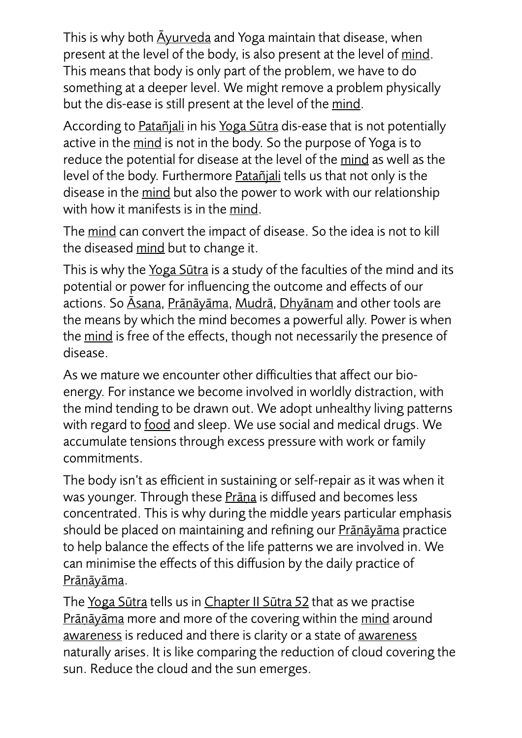This is why both **A**[yurveda](http://www.yogastudies.org/sanskrit/ayurveda/) and Yoga maintain that disease, when present at the level of the body, is also present at the level of [mind.](http://www.yogastudies.org/sanskrit/manas/) This means that body is only part of the problem, we have to do something at a deeper level. We might remove a problem physically but the dis-ease is still present at the level of the [mind.](http://www.yogastudies.org/sanskrit/manas/)

According to [Patañjali](http://www.yogastudies.org/sanskrit/patanjali/) in his [Yoga S](http://www.yogastudies.org/yoga-text-freenotes/yoga-sutra-freenotes/)ūtra dis-ease that is not potentially active in the [mind](http://www.yogastudies.org/sanskrit/manas/) is not in the body. So the purpose of Yoga is to reduce the potential for disease at the level of the [mind](http://www.yogastudies.org/sanskrit/manas/) as well as the level of the body. Furthermore [Patañjali](http://www.yogastudies.org/sanskrit/patanjali/) tells us that not only is the disease in the [mind](http://www.yogastudies.org/sanskrit/manas/) but also the power to work with our relationship with how it manifests is in the [mind](http://www.yogastudies.org/sanskrit/manas/).

The [mind](http://www.yogastudies.org/sanskrit/manas/) can convert the impact of disease. So the idea is not to kill the diseased [mind](http://www.yogastudies.org/sanskrit/manas/) but to change it.

This is why the [Yoga S](http://www.yogastudies.org/yoga-text-freenotes/yoga-sutra-freenotes/)ūtra is a study of the faculties of the mind and its potential or power for influencing the outcome and effects of our actions. So Ā[sana,](http://www.yogastudies.org/sanskrit/asana/) Pr[āṇā](http://www.yogastudies.org/sanskrit/pranayama/)yāma, [Mudr](http://www.yogastudies.org/sanskrit/mudra/)ā, Dhyā[nam](http://www.yogastudies.org/sanskrit/dhyana/) and other tools are the means by which the mind becomes a powerful ally. Power is when the [mind](http://www.yogastudies.org/sanskrit/manas/) is free of the effects, though not necessarily the presence of disease.

As we mature we encounter other difficulties that affect our bioenergy. For instance we become involved in worldly distraction, with the mind tending to be drawn out. We adopt unhealthy living patterns with regard to [food](http://www.yogastudies.org/sanskrit/annam/) and sleep. We use social and medical drugs. We accumulate tensions through excess pressure with work or family commitments.

The body isn't as efficient in sustaining or self-repair as it was when it was younger. Through these Prana is diffused and becomes less concentrated. This is why during the middle years particular emphasis should be placed on maintaining and refining our Pr[āṇā](http://www.yogastudies.org/sanskrit/pranayama/)yāma practice to help balance the effects of the life patterns we are involved in. We can minimise the effects of this diffusion by the daily practice of Prānāyāma.

The [Yoga S](http://www.yogastudies.org/yoga-text-freenotes/yoga-sutra-freenotes/)ūtra tells us in [Chapter II S](http://www.yogastudies.org/sutra/yoga-sutra-chapter-2-verse-52/)ūtra 52 that as we practise Pr[āṇā](http://www.yogastudies.org/sanskrit/pranayama/)yāma more and more of the covering within the [mind](http://www.yogastudies.org/sanskrit/manas/) around [awareness](http://www.yogastudies.org/sanskrit/citi/) is reduced and there is clarity or a state of [awareness](http://www.yogastudies.org/sanskrit/citi/) naturally arises. It is like comparing the reduction of cloud covering the sun. Reduce the cloud and the sun emerges.